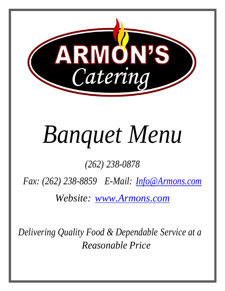

# *Banquet Menu*

*(262) 238-0878*

*Fax: (262) 238-8859 E-Mail: [Info@Armons.com](mailto:Info@Armons.com)*

*Website: [www.Armons.com](http://www.armons.com/)*

*Delivering Quality Food & Dependable Service at a Reasonable Price*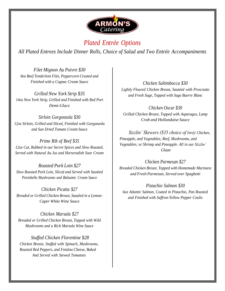

## *Plated Entrée Options*

*All Plated Entrees Include Dinner Rolls, Choice of Salad and Two Entrée Accompaniments*

*Filet Mignon Au Poivre \$30 8oz Beef Tenderloin Filet, Peppercorn Crusted and Finished with a Cognac Cream Sauce*

*Grilled New York Strip \$35 14oz New York Strip, Grilled and Finished with Red Port Demi-Glace*

*Sirloin Gorgonzola \$30 12oz Sirloin, Grilled and Sliced, Finished with Gorgonzola and Sun Dried Tomato Cream Sauce*

*Prime Rib of Beef \$35 12oz Cut, Rubbed in our Secret Spices and Slow Roasted, Served with Natural Au Jus and Horseradish Sour Cream*

*Roasted Pork Loin \$27 Slow Roasted Pork Loin, Sliced and Served with Sautéed Portobello Mushrooms and Balsamic Cream Sauce*

*Chicken Picatta \$27 Breaded or Grilled Chicken Breast, Sautéed in a Lemon-Caper White Wine Sauce*

*Chicken Marsala \$27 Breaded or Grilled Chicken Breast, Topped with Wild Mushrooms and a Rich Marsala Wine Sauce*

*Stuffed Chicken Florentine \$28 Chicken Breast, Stuffed with Spinach, Mushrooms, Roasted Red Peppers, and Fontina Cheese, Baked And Served with Stewed Tomatoes*

*Chicken Saltimbocca \$30 Lightly Floured Chicken Breast, Sautéed with Prosciutto and Fresh Sage, Topped with Sage Buerre Blanc*

*Chicken Oscar \$30 Grilled Chicken Breast, Topped with Asparagus, Lump Crab and Hollandaise Sauce*

*Sizzlin' Skewers (\$35 choice of two) Chicken, Pineapple, and Vegetables; Beef, Mushrooms, and Vegetables; or Shrimp and Pineapple. All in our Sizzlin' Glaze*

*Chicken Parmesan \$27 Breaded Chicken Breast, Topped with Homemade Marinara and Fresh Parmesan, Served over Spaghetti*

*Pistachio Salmon \$30 6oz Atlantic Salmon, Coated in Pistachio, Pan Roasted and Finished with Saffron-Yellow Pepper Coulis*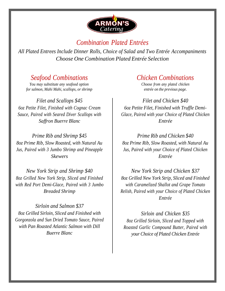

#### *Combination Plated Entrées*

*All Plated Entrees Include Dinner Rolls, Choice of Salad and Two Entrée Accompaniments Choose One Combination Plated Entrée Selection*

#### *Seafood Combinations*

*You may substitute any seafood option for salmon, Mahi Mahi, scallops, or shrimp*

*Filet and Scallops \$45 6oz Petite Filet, Finished with Cognac Cream Sauce, Paired with Seared Diver Scallops with Saffron Buerre Blanc*

*Prime Rib and Shrimp \$45 8oz Prime Rib, Slow Roasted, with Natural Au Jus, Paired with 3 Jumbo Shrimp and Pineapple Skewers*

*New York Strip and Shrimp \$40 8oz Grilled New York Strip, Sliced and Finished with Red Port Demi-Glace, Paired with 3 Jumbo Breaded Shrimp*

*Sirloin and Salmon \$37 8oz Grilled Sirloin, Sliced and Finished with Gorgonzola and Sun Dried Tomato Sauce, Paired with Pan Roasted Atlantic Salmon with Dill Buerre Blanc*

#### *Chicken Combinations*

*Choose from any plated chicken entrée on the previous page.*

*Filet and Chicken \$40 6oz Petite Filet, Finished with Truffle Demi-Glace, Paired with your Choice of Plated Chicken Entrée*

*Prime Rib and Chicken \$40 8oz Prime Rib, Slow Roasted, with Natural Au Jus, Paired with your Choice of Plated Chicken Entrée*

*New York Strip and Chicken \$37 8oz Grilled New York Strip, Sliced and Finished with Caramelized Shallot and Grape Tomato Relish, Paired with your Choice of Plated Chicken Entrée*

*Sirloin and Chicken \$35 8oz Grilled Sirloin, Sliced and Topped with Roasted Garlic Compound Butter, Paired with your Choice of Plated Chicken Entrée*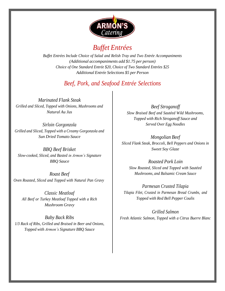

## *Buffet Entrées*

*Buffet Entrées Include Choice of Salad and Relish Tray and Two Entrée Accompaniments (Additional accompaniments add \$1.75 per person) Choice of One Standard Entrée \$20, Choice of Two Standard Entrées \$25 Additional Entrée Selections \$5 per Person*

#### *Beef, Pork, and Seafood Entrée Selections*

*Marinated Flank Steak Grilled and Sliced, Topped with Onions, Mushrooms and Natural Au Jus*

*Sirloin Gorgonzola Grilled and Sliced, Topped with a Creamy Gorgonzola and Sun Dried Tomato Sauce*

*BBQ Beef Brisket Slow-cooked, Sliced, and Basted in Armon's Signature BBQ Sauce*

*Roast Beef Oven Roasted, Sliced and Topped with Natural Pan Gravy*

*Classic Meatloaf All Beef or Turkey Meatloaf Topped with a Rich Mushroom Gravy*

*Baby Back Ribs 1/3 Rack of Ribs, Grilled and Braised in Beer and Onions, Topped with Armon's Signature BBQ Sauce*

*Beef Stroganoff Slow Braised Beef and Sautéed Wild Mushrooms, Topped with Rich Stroganoff Sauce and Served Over Egg Noodles*

*Mongolian Beef Sliced Flank Steak, Broccoli, Bell Peppers and Onions in Sweet Soy Glaze*

*Roasted Pork Loin Slow Roasted, Sliced and Topped with Sautéed Mushrooms, and Balsamic Cream Sauce*

*Parmesan Crusted Tilapia Tilapia Filet, Crusted in Parmesan Bread Crumbs, and Topped with Red Bell Pepper Coulis*

*Grilled Salmon Fresh Atlantic Salmon, Topped with a Citrus Buerre Blanc*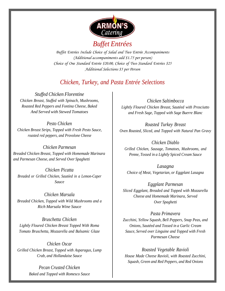

## *Buffet Entrées*

*Buffet Entrées Include Choice of Salad and Two Entrée Accompaniments (Additional accompaniments add \$1.75 per person) Choice of One Standard Entrée \$20.00, Choice of Two Standard Entrées \$25 Additional Selections \$5 per Person*

#### *Chicken, Turkey, and Pasta Entrée Selections*

*Stuffed Chicken Florentine Chicken Breast, Stuffed with Spinach, Mushrooms, Roasted Red Peppers and Fontina Cheese, Baked And Served with Stewed Tomatoes*

*Pesto Chicken Chicken Breast Strips, Topped with Fresh Pesto Sauce, roasted red peppers, and Provolone Cheese*

*Chicken Parmesan Breaded Chicken Breast, Topped with Homemade Marinara and Parmesan Cheese, and Served Over Spaghetti*

*Chicken Picatta Breaded or Grilled Chicken, Sautéed in a Lemon-Caper Sauce*

*Chicken Marsala Breaded Chicken, Topped with Wild Mushrooms and a Rich Marsala Wine Sauce*

*Bruschetta Chicken Lightly Floured Chicken Breast Topped With Roma Tomato Bruschetta, Mozzarella and Balsamic Glaze*

*Chicken Oscar Grilled Chicken Breast, Topped with Asparagus, Lump Crab, and Hollandaise Sauce*

> *Pecan Crusted Chicken Baked and Topped with Romesco Sauce*

*Chicken Saltimbocca Lightly Floured Chicken Breast, Sautéed with Prosciutto and Fresh Sage, Topped with Sage Buerre Blanc*

*Roasted Turkey Breast Oven Roasted, Sliced, and Topped with Natural Pan Gravy*

*Chicken Diablo Grilled Chicken, Sausage, Tomatoes, Mushrooms, and Penne, Tossed in a Lightly Spiced Cream Sauce*

*Lasagna Choice of Meat, Vegetarian, or Eggplant Lasagna*

*Eggplant Parmesan Sliced Eggplant, Breaded and Topped with Mozzarella Cheese and Homemade Marinara, Served Over Spaghetti*

*Pasta Primavera Zucchini, Yellow Squash, Bell Peppers, Snap Peas, and Onions, Sautéed and Tossed in a Garlic Cream Sauce, Served over Linguine and Topped with Fresh Parmesan Cheese*

*Roasted Vegetable Ravioli House Made Cheese Ravioli, with Roasted Zucchini, Squash, Green and Red Peppers, and Red Onions*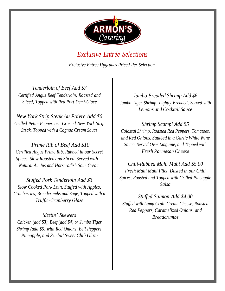

## *Exclusive Entrée Selections Exclusive Entrée Upgrades Priced Per Selection.*

*Tenderloin of Beef Add \$7 Certified Angus Beef Tenderloin, Roasted and Sliced, Topped with Red Port Demi-Glace*

*New York Strip Steak Au Poivre Add \$6 Grilled Petite Peppercorn Crusted New York Strip Steak, Topped with a Cognac Cream Sauce*

*Prime Rib of Beef Add \$10 Certified Angus Prime Rib, Rubbed in our Secret Spices, Slow Roasted and Sliced, Served with Natural Au Jus and Horseradish Sour Cream*

*Stuffed Pork Tenderloin Add \$3 Slow Cooked Pork Loin, Stuffed with Apples, Cranberries, Breadcrumbs and Sage, Topped with a Truffle-Cranberry Glaze*

*Sizzlin' Skewers Chicken (add \$3), Beef (add \$4) or Jumbo Tiger Shrimp (add \$5) with Red Onions, Bell Peppers, Pineapple, and Sizzlin' Sweet Chili Glaze*

*Jumbo Breaded Shrimp Add \$6 Jumbo Tiger Shrimp, Lightly Breaded, Served with Lemons and Cocktail Sauce*

*Shrimp Scampi Add \$5 Colossal Shrimp, Roasted Red Peppers, Tomatoes, and Red Onions, Sautéed in a Garlic White Wine Sauce, Served Over Linguine, and Topped with Fresh Parmesan Cheese*

*Chili-Rubbed Mahi Mahi Add \$5.00 Fresh Mahi Mahi Filet, Dusted in our Chili Spices, Roasted and Topped with Grilled Pineapple Salsa*

*Stuffed Salmon Add \$4.00 Stuffed with Lump Crab, Cream Cheese, Roasted Red Peppers, Caramelized Onions, and Breadcrumbs*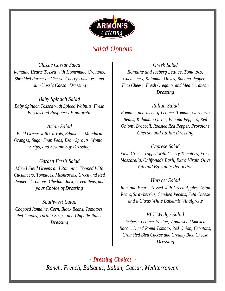

## *Salad Options*

*Classic Caesar Salad Romaine Hearts Tossed with Homemade Croutons, Shredded Parmesan Cheese, Cherry Tomatoes, and our Classic Caesar Dressing*

*Baby Spinach Salad Baby Spinach Tossed with Spiced Walnuts, Fresh Berries and Raspberry Vinaigrette*

*Asian Salad Field Greens with Carrots, Edamame, Mandarin Oranges, Sugar Snap Peas, Bean Sprouts, Wonton Strips, and Sesame Soy Dressing*

*Garden Fresh Salad Mixed Field Greens and Romaine, Topped With Cucumbers, Tomatoes, Mushrooms, Green and Red Peppers, Croutons, Cheddar Jack, Green Peas, and your Choice of Dressing*

*Southwest Salad Chopped Romaine, Corn, Black Beans, Tomatoes, Red Onions, Tortilla Strips, and Chipotle-Ranch Dressing*

*Greek Salad Romaine and Iceberg Lettuce, Tomatoes, Cucumbers, Kalamata Olives, Banana Peppers, Feta Cheese, Fresh Oregano, and Mediterranean Dressing*

*Italian Salad Romaine and Iceberg Lettuce, Tomato, Garbanzo Beans, Kalamata Olives, Banana Peppers, Red Onions, Broccoli, Roasted Red Pepper, Provolone Cheese, and Italian Dressing*

*Caprese Salad Field Greens Topped with Cherry Tomatoes, Fresh Mozzarella, Chiffonade Basil, Extra Virgin Olive Oil and Balsamic Reduction*

*Harvest Salad Romaine Hearts Tossed with Green Apples, Asian Pears, Strawberries, Candied Pecans, Feta Cheese and a Citrus White Balsamic Vinaigrette*

*BLT Wedge Salad Iceberg Lettuce Wedge, Applewood Smoked Bacon, Diced Roma Tomato, Red Onion, Croutons, Crumbled Bleu Cheese and Creamy Bleu Cheese Dressing*

*~ Dressing Choices ~ Ranch, French, Balsamic, Italian, Caesar, Mediterranean*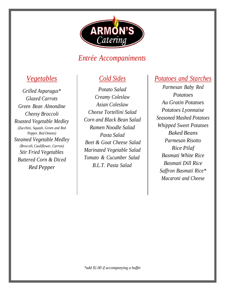

## *Entrée Accompaniments*

## *Vegetables*

*Grilled Asparagus\* Glazed Carrots Green Bean Almondine Cheesy Broccoli Roasted Vegetable Medley (Zucchini, Squash, Green and Red Pepper, Red Onions) Steamed Vegetable Medley (Broccoli, Cauliflower, Carrots) Stir Fried Vegetables Buttered Corn & Diced Red Pepper*

## *Cold Sides*

*Potato Salad Creamy Coleslaw Asian Coleslaw Cheese Tortellini Salad Corn and Black Bean Salad Ramen Noodle Salad Pasta Salad Beet & Goat Cheese Salad Marinated Vegetable Salad Tomato & Cucumber Salad B.L.T. Pasta Salad*

#### *Potatoes and Starches*

*Parmesan Baby Red Potatoes Au Gratin Potatoes Potatoes Lyonnaise Seasoned Mashed Potatoes Whipped Sweet Potatoes Baked Beans Parmesan Risotto Rice Pilaf Basmati White Rice Basmati Dill Rice Saffron Basmati Rice\* Macaroni and Cheese*

*\*add \$1.00 if accompanying a buffet*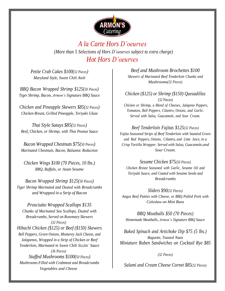

*A la Carte Hors D'oeurves (More than 5 Selections of Hors D'oeurves subject to extra charge) Hot Hors D'oeurves*

*Petite Crab Cakes \$100(32 Pieces) Maryland Style, Sweet Chili Aioli*

*BBQ Bacon Wrapped Shrimp \$125(50 Pieces) Tiger Shrimp, Bacon, Armon's Signature BBQ Sauce*

*Chicken and Pineapple Skewers \$85(32 Pieces) Chicken Breast, Grilled Pineapple, Teriyaki Glaze*

*Thai Style Satays \$85(<sup>32</sup> Pieces) Beef, Chicken, or Shrimp, with Thai Peanut Sauce*

*Bacon Wrapped Chestnuts \$75(<sup>50</sup> Pieces) Marinated Chestnuts, Bacon, Balsamic Reduction*

*Chicken Wings \$100 (70 Pieces, 10 lbs.) BBQ, Buffalo, or Asian Sesame*

*Bacon Wrapped Shrimp \$125(50 Pieces) Tiger Shrimp Marinated and Dusted with Breadcrumbs and Wrapped in a Strip of Bacon*

*Prosciutto Wrapped Scallops \$135 Chunks of Marinated Sea Scallops, Dusted with Breadcrumbs, Served on Rosemary Skewers (32 Pieces) Hibachi Chicken (\$125) or Beef (\$150) Skewers Bell Peppers, Green Onions, Monterey Jack Cheese, and Jalapenos, Wrapped in a Strip of Chicken or Beef Tenderloin, Marinated in Sweet Chili Sizzlin' Sauce (36 Pieces) Stuffed Mushrooms \$100(<sup>50</sup> Pieces) Mushrooms Filled with Crabmeat and Breadcrumbs Vegetables and Cheese*

*Beef and Mushroom Brochettes \$100 Skewers of Marinated Beef Tenderloin Chunks and Mushrooms(32 Pieces)*

*Chicken (\$125) or Shrimp (\$150) Quesadillas* (32 Pieces)

*Chicken or Shrimp, a Blend of Cheeses, Jalapeno Peppers, Tomatoes, Bell Peppers, Cilantro, Onions, and Garlic. Served with Salsa, Guacamole, and Sour Cream.*

*Beef Tenderloin Fajitas \$125(32 Pieces) Fajita Seasoned Strips of Beef Tenderloin with Sautéed Green and Red Peppers, Onions, Cilantro, and Lime Juice, in a Crisp Tortilla Wrapper. Served with Salsa, Guacamole,and Sour Cream.*

*Sesame Chicken \$75(50 Pieces) Chicken Breast Seasoned with Garlic, Sesame Oil and Teriyaki Sauce, and Coated with Sesame Seeds and Breadcrumbs*

*Sliders \$90(32 Pieces) Angus Beef Patties with Cheese, or BBQ Pulled Pork with Coleslaw on Mini Buns*

*BBQ Meatballs \$50 (70 Pieces) Homemade Meatballs, Armon's Signature BBQ Sauce*

*Baked Spinach and Artichoke Dip \$75 (5 lbs.) Baguette, Toasted Naan Miniature Ruben Sandwiches on Cocktail Rye \$85*

*(32 Pieces)*

*Salami and Cream Cheese Cornet \$85*(*32 Pieces*)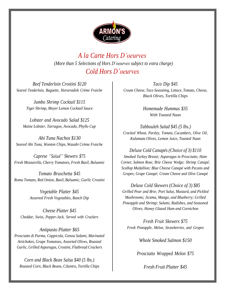

*A la Carte Hors D'oeurves (More than 5 Selections of Hors D'oeurves subject to extra charge) Cold Hors D'oeurves*

*Beef Tenderloin Crostini \$120 Seared Tenderloin, Baguette, Horseradish Crème Fraiche*

> *Jumbo Shrimp Cocktail \$115 Tiger Shrimp, Meyer Lemon Cocktail Sauce*

*Lobster and Avocado Salad \$125 Maine Lobster, Tarragon, Avocado, Phyllo Cup*

*Ahi Tuna Nachos \$130 Seared Ahi Tuna, Wonton Chips, Wasabi Crème Fraiche*

*Caprese "Salad" Skewers \$75 Fresh Mozzarella, Cherry Tomatoes, Fresh Basil, Balsamic*

*Tomato Bruschetta \$45 Roma Tomato, Red Onion, Basil, Balsamic, Garlic Crostini*

> *Vegetable Platter \$45 Assorted Fresh Vegetables, Ranch Dip*

*Cheese Platter \$45 Cheddar, Swiss, Pepper-Jack, Served with Crackers*

*Antipasto Platter \$65 Prosciutto di Parma, Cappicola, Genoa Salami, Marinated Artichokes, Grape Tomatoes, Assorted Olives, Roasted Garlic, Grilled Asparagus, Crostini, Flatbread Crackers*

*Corn and Black Bean Salsa \$40 (5 lbs.) Roasted Corn, Black Beans, Cilantro, Tortilla Chips*

*Taco Dip \$45 Cream Cheese, Taco Seasoning, Lettuce, Tomato, Cheese, Black Olives, Tortilla Chips*

> *Homemade Hummus \$35 With Toasted Naan*

*Tabbouleh Salad \$45 (5 lbs.) Cracked Wheat, Parsley, Tomato, Cucumbers, Olive Oil, Kalamata Olives, Lemon Juice, Toasted Naan*

*Deluxe Cold Canapés (Choice of 3) \$110 Smoked Turkey Breast; Asparagus in Prosciutto; Ham Cornet; Salmon Rose; Brie Cheese Wedge; Shrimp Canapé; Scallop Medallion; Blue Cheese Canapé with Pecans and Grapes; Grape Canapé; Cream Cheese and Olive Canapé*

*Deluxe Cold Skewers (Choice of 3) \$85 Grilled Pear and Brie; Port Salut, Mustard, and Pickled Mushrooms; Jicama, Mango, and Blueberry; Grilled Pineapple and Shrimp; Salami, Radishes, and Seasoned Olives; Honey Glazed Ham and Cornichon*

*Fresh Fruit Skewers \$75 Fresh Pineapple, Melon, Strawberries, and Grapes*

*Whole Smoked Salmon \$150*

*Prosciutto Wrapped Melon \$75*

*Fresh Fruit Platter \$45*